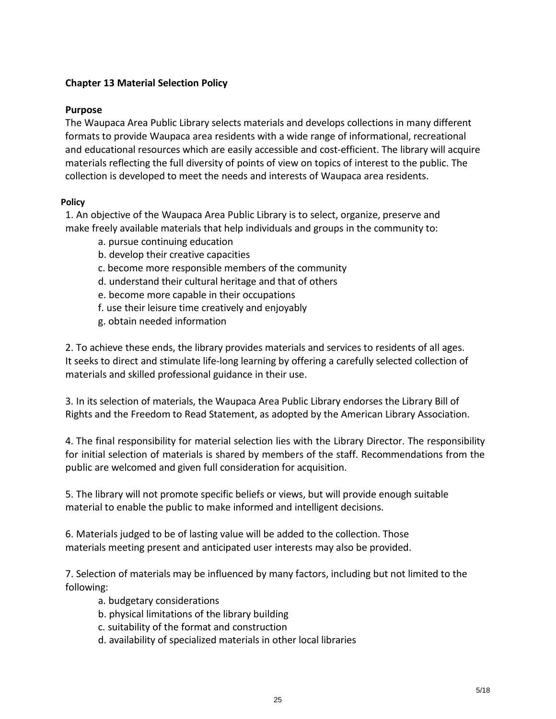## **Chapter 13 Material Selection Policy**

## **Purpose**

The Waupaca Area Public Library selects materials and develops collections in many different formats to provide Waupaca area residents with a wide range of informational, recreational and educational resources which are easily accessible and cost-efficient. The library will acquire materials reflecting the full diversity of points of view on topics of interest to the public. The collection is developed to meet the needs and interests of Waupaca area residents.

## **Policy**

1. An objective of the Waupaca Area Public Library is to select, organize, preserve and make freely available materials that help individuals and groups in the community to:

- a. pursue continuing education
- b. develop their creative capacities
- c. become more responsible members of the community
- d. understand their cultural heritage and that of others
- e. become more capable in their occupations
- f. use their leisure time creatively and enjoyably
- g. obtain needed information

2. To achieve these ends, the library provides materials and services to residents of all ages. It seeks to direct and stimulate life-long learning by offering a carefully selected collection of materials and skilled professional guidance in their use.

3. In its selection of materials, the Waupaca Area Public Library endorses the Library Bill of Rights and the Freedom to Read Statement, as adopted by the American Library Association.

4. The final responsibility for material selection lies with the Library Director. The responsibility for initial selection of materials is shared by members of the staff. Recommendations from the public are welcomed and given full consideration for acquisition.

5. The library will not promote specific beliefs or views, but will provide enough suitable material to enable the public to make informed and intelligent decisions.

6. Materials judged to be of lasting value will be added to the collection. Those materials meeting present and anticipated user interests may also be provided.

7. Selection of materials may be influenced by many factors, including but not limited to the following:

- a. budgetary considerations
- b. physical limitations of the library building
- c. suitability of the format and construction
- d. availability of specialized materials in other local libraries